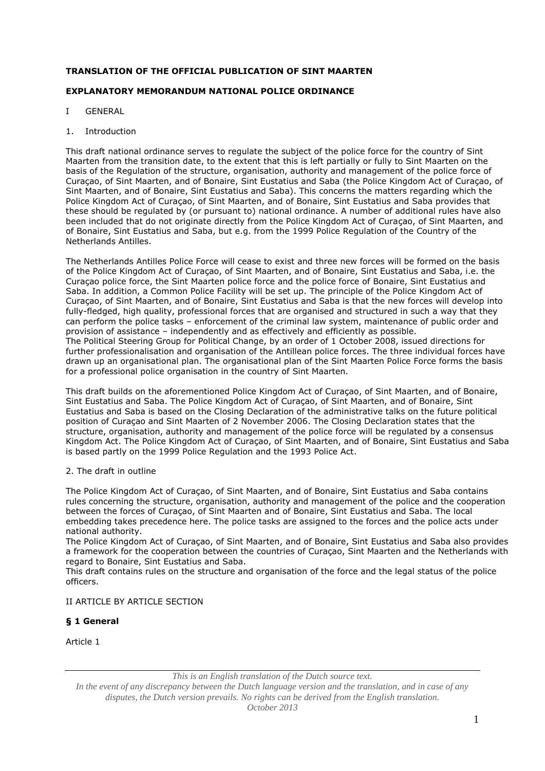# **TRANSLATION OF THE OFFICIAL PUBLICATION OF SINT MAARTEN**

# **EXPLANATORY MEMORANDUM NATIONAL POLICE ORDINANCE**

- I GENERAL
- 1. Introduction

This draft national ordinance serves to regulate the subject of the police force for the country of Sint Maarten from the transition date, to the extent that this is left partially or fully to Sint Maarten on the basis of the Regulation of the structure, organisation, authority and management of the police force of Curaçao, of Sint Maarten, and of Bonaire, Sint Eustatius and Saba (the Police Kingdom Act of Curaçao, of Sint Maarten, and of Bonaire, Sint Eustatius and Saba). This concerns the matters regarding which the Police Kingdom Act of Curaçao, of Sint Maarten, and of Bonaire, Sint Eustatius and Saba provides that these should be regulated by (or pursuant to) national ordinance. A number of additional rules have also been included that do not originate directly from the Police Kingdom Act of Curaçao, of Sint Maarten, and of Bonaire, Sint Eustatius and Saba, but e.g. from the 1999 Police Regulation of the Country of the Netherlands Antilles.

The Netherlands Antilles Police Force will cease to exist and three new forces will be formed on the basis of the Police Kingdom Act of Curaçao, of Sint Maarten, and of Bonaire, Sint Eustatius and Saba, i.e. the Curaçao police force, the Sint Maarten police force and the police force of Bonaire, Sint Eustatius and Saba. In addition, a Common Police Facility will be set up. The principle of the Police Kingdom Act of Curaçao, of Sint Maarten, and of Bonaire, Sint Eustatius and Saba is that the new forces will develop into fully-fledged, high quality, professional forces that are organised and structured in such a way that they can perform the police tasks – enforcement of the criminal law system, maintenance of public order and provision of assistance – independently and as effectively and efficiently as possible. The Political Steering Group for Political Change, by an order of 1 October 2008, issued directions for further professionalisation and organisation of the Antillean police forces. The three individual forces have drawn up an organisational plan. The organisational plan of the Sint Maarten Police Force forms the basis for a professional police organisation in the country of Sint Maarten.

This draft builds on the aforementioned Police Kingdom Act of Curaçao, of Sint Maarten, and of Bonaire, Sint Eustatius and Saba. The Police Kingdom Act of Curaçao, of Sint Maarten, and of Bonaire, Sint Eustatius and Saba is based on the Closing Declaration of the administrative talks on the future political position of Curaçao and Sint Maarten of 2 November 2006. The Closing Declaration states that the structure, organisation, authority and management of the police force will be regulated by a consensus Kingdom Act. The Police Kingdom Act of Curaçao, of Sint Maarten, and of Bonaire, Sint Eustatius and Saba is based partly on the 1999 Police Regulation and the 1993 Police Act.

2. The draft in outline

The Police Kingdom Act of Curaçao, of Sint Maarten, and of Bonaire, Sint Eustatius and Saba contains rules concerning the structure, organisation, authority and management of the police and the cooperation between the forces of Curaçao, of Sint Maarten and of Bonaire, Sint Eustatius and Saba. The local embedding takes precedence here. The police tasks are assigned to the forces and the police acts under national authority.

The Police Kingdom Act of Curaçao, of Sint Maarten, and of Bonaire, Sint Eustatius and Saba also provides a framework for the cooperation between the countries of Curaçao, Sint Maarten and the Netherlands with regard to Bonaire, Sint Eustatius and Saba.

This draft contains rules on the structure and organisation of the force and the legal status of the police officers.

## II ARTICLE BY ARTICLE SECTION

## **§ 1 General**

Article 1

*This is an English translation of the Dutch source text.*

*In the event of any discrepancy between the Dutch language version and the translation, and in case of any disputes, the Dutch version prevails. No rights can be derived from the English translation. October 2013*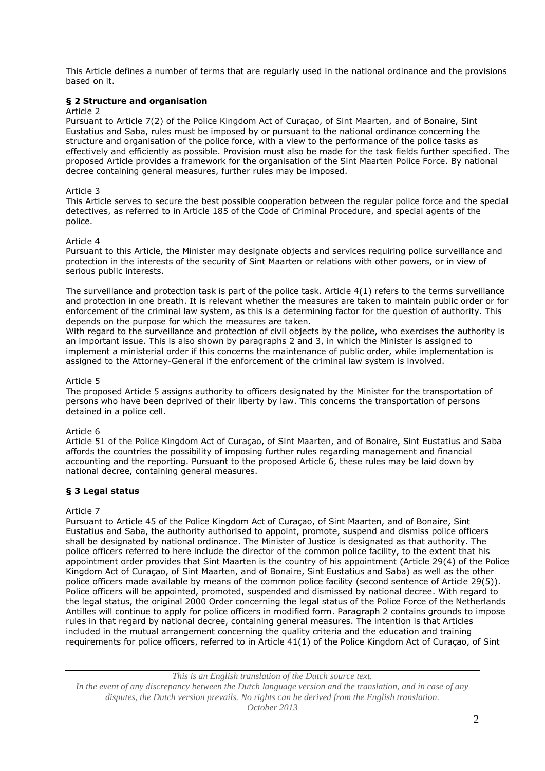This Article defines a number of terms that are regularly used in the national ordinance and the provisions based on it.

### **§ 2 Structure and organisation**

#### Article 2

Pursuant to Article 7(2) of the Police Kingdom Act of Curaçao, of Sint Maarten, and of Bonaire, Sint Eustatius and Saba, rules must be imposed by or pursuant to the national ordinance concerning the structure and organisation of the police force, with a view to the performance of the police tasks as effectively and efficiently as possible. Provision must also be made for the task fields further specified. The proposed Article provides a framework for the organisation of the Sint Maarten Police Force. By national decree containing general measures, further rules may be imposed.

### Article 3

This Article serves to secure the best possible cooperation between the regular police force and the special detectives, as referred to in Article 185 of the Code of Criminal Procedure, and special agents of the police.

### Article 4

Pursuant to this Article, the Minister may designate objects and services requiring police surveillance and protection in the interests of the security of Sint Maarten or relations with other powers, or in view of serious public interests.

The surveillance and protection task is part of the police task. Article 4(1) refers to the terms surveillance and protection in one breath. It is relevant whether the measures are taken to maintain public order or for enforcement of the criminal law system, as this is a determining factor for the question of authority. This depends on the purpose for which the measures are taken.

With regard to the surveillance and protection of civil objects by the police, who exercises the authority is an important issue. This is also shown by paragraphs 2 and 3, in which the Minister is assigned to implement a ministerial order if this concerns the maintenance of public order, while implementation is assigned to the Attorney-General if the enforcement of the criminal law system is involved.

#### Article 5

The proposed Article 5 assigns authority to officers designated by the Minister for the transportation of persons who have been deprived of their liberty by law. This concerns the transportation of persons detained in a police cell.

### Article 6

Article 51 of the Police Kingdom Act of Curaçao, of Sint Maarten, and of Bonaire, Sint Eustatius and Saba affords the countries the possibility of imposing further rules regarding management and financial accounting and the reporting. Pursuant to the proposed Article 6, these rules may be laid down by national decree, containing general measures.

### **§ 3 Legal status**

### Article 7

Pursuant to Article 45 of the Police Kingdom Act of Curaçao, of Sint Maarten, and of Bonaire, Sint Eustatius and Saba, the authority authorised to appoint, promote, suspend and dismiss police officers shall be designated by national ordinance. The Minister of Justice is designated as that authority. The police officers referred to here include the director of the common police facility, to the extent that his appointment order provides that Sint Maarten is the country of his appointment (Article 29(4) of the Police Kingdom Act of Curaçao, of Sint Maarten, and of Bonaire, Sint Eustatius and Saba) as well as the other police officers made available by means of the common police facility (second sentence of Article 29(5)). Police officers will be appointed, promoted, suspended and dismissed by national decree. With regard to the legal status, the original 2000 Order concerning the legal status of the Police Force of the Netherlands Antilles will continue to apply for police officers in modified form. Paragraph 2 contains grounds to impose rules in that regard by national decree, containing general measures. The intention is that Articles included in the mutual arrangement concerning the quality criteria and the education and training requirements for police officers, referred to in Article 41(1) of the Police Kingdom Act of Curaçao, of Sint

*This is an English translation of the Dutch source text. In the event of any discrepancy between the Dutch language version and the translation, and in case of any disputes, the Dutch version prevails. No rights can be derived from the English translation. October 2013*